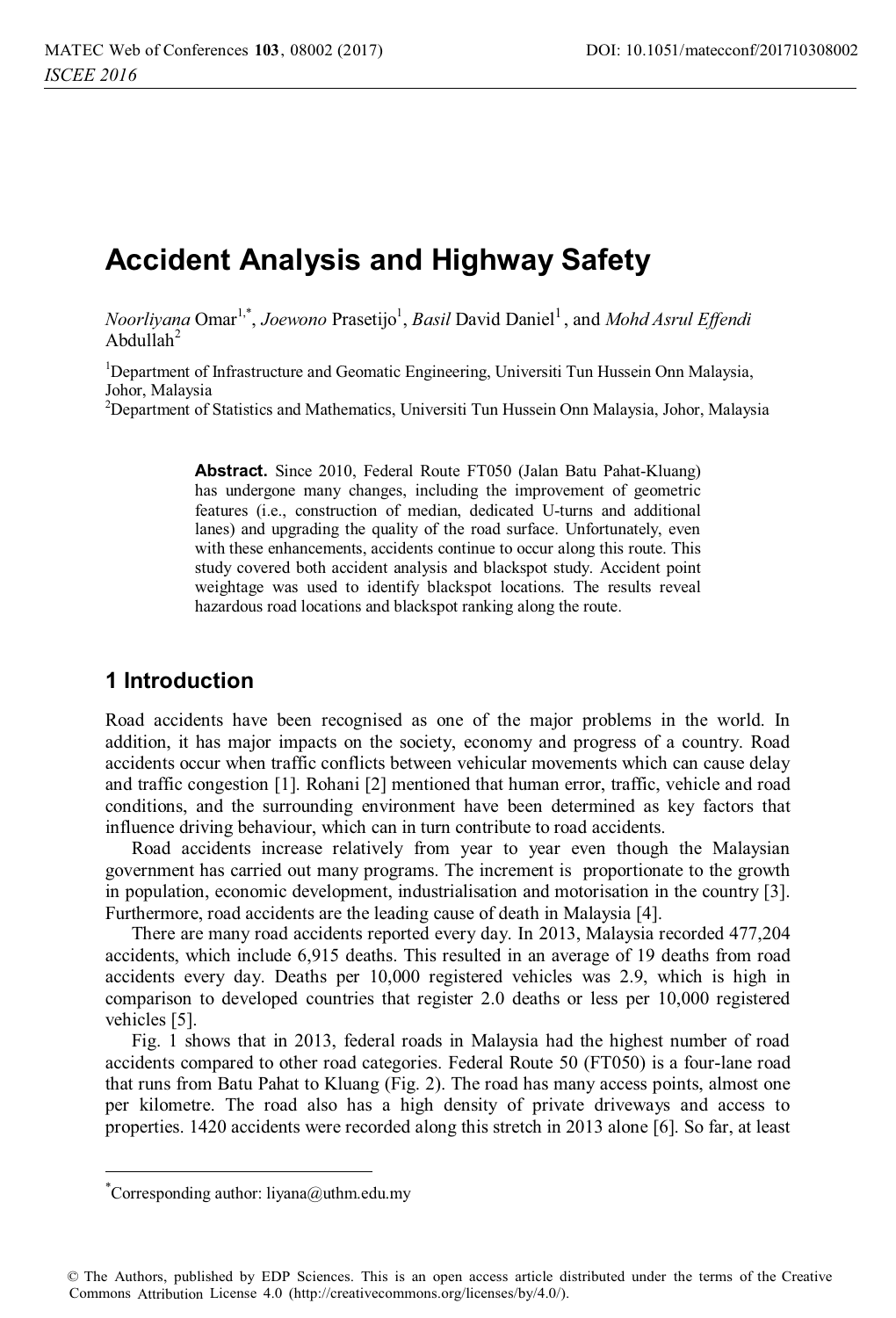# **Accident Analysis and Highway Safety**

*Noorliyana* Omar<sup>1,\*</sup>, *Joewono Prasetijo<sup>1</sup>, Basil David Daniel<sup>1</sup>, and <i>Mohd Asrul Effendi* Abdullah $2$ 

<sup>1</sup>Department of Infrastructure and Geomatic Engineering, Universiti Tun Hussein Onn Malaysia, Johor, Malaysia

<sup>2</sup>Department of Statistics and Mathematics, Universiti Tun Hussein Onn Malaysia, Johor, Malaysia

**Abstract.** Since 2010, Federal Route FT050 (Jalan Batu Pahat-Kluang) has undergone many changes, including the improvement of geometric features (i.e., construction of median, dedicated U-turns and additional lanes) and upgrading the quality of the road surface. Unfortunately, even with these enhancements, accidents continue to occur along this route. This study covered both accident analysis and blackspot study. Accident point weightage was used to identify blackspot locations. The results reveal hazardous road locations and blackspot ranking along the route.

### **1 Introduction**

Road accidents have been recognised as one of the major problems in the world. In addition, it has major impacts on the society, economy and progress of a country. Road accidents occur when traffic conflicts between vehicular movements which can cause delay and traffic congestion [1]. Rohani [2] mentioned that human error, traffic, vehicle and road conditions, and the surrounding environment have been determined as key factors that influence driving behaviour, which can in turn contribute to road accidents.

Road accidents increase relatively from year to year even though the Malaysian government has carried out many programs. The increment is proportionate to the growth in population, economic development, industrialisation and motorisation in the country [3]. Furthermore, road accidents are the leading cause of death in Malaysia [4].

There are many road accidents reported every day. In 2013, Malaysia recorded 477,204 accidents, which include 6,915 deaths. This resulted in an average of 19 deaths from road accidents every day. Deaths per 10,000 registered vehicles was 2.9, which is high in comparison to developed countries that register 2.0 deaths or less per 10,000 registered vehicles [5].

Fig. 1 shows that in 2013, federal roads in Malaysia had the highest number of road accidents compared to other road categories. Federal Route 50 (FT050) is a four-lane road that runs from Batu Pahat to Kluang (Fig. 2). The road has many access points, almost one per kilometre. The road also has a high density of private driveways and access to properties. 1420 accidents were recorded along this stretch in 2013 alone [6]. So far, at least

 $\overline{a}$ 

<sup>\*</sup> Corresponding author: liyana@uthm.edu.my

<sup>©</sup> The Authors, published by EDP Sciences. This is an open access article distributed under the terms of the Creative Commons Attribution License 4.0 (http://creativecommons.org/licenses/by/4.0/).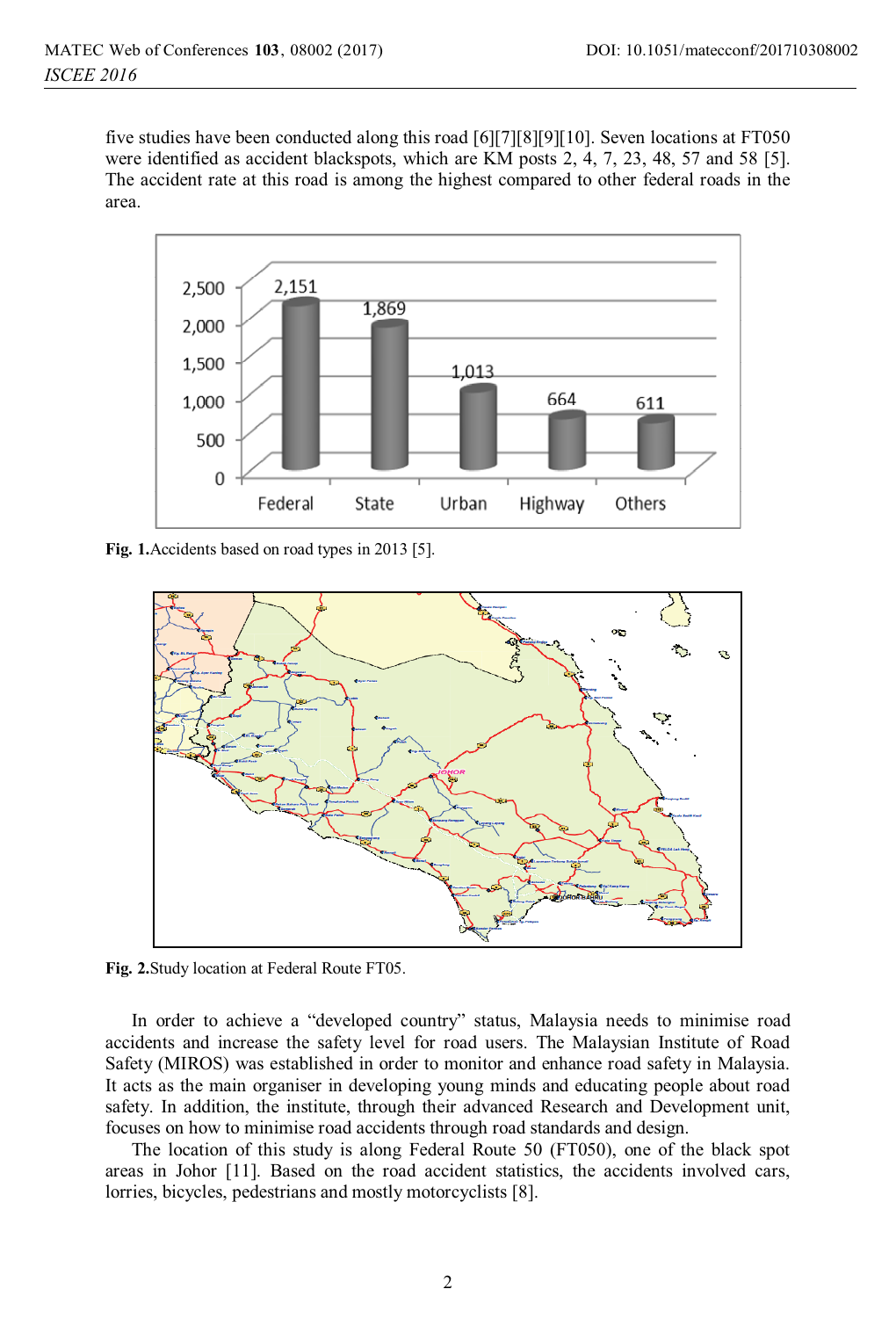five studies have been conducted along this road [6][7][8][9][10]. Seven locations at FT050 were identified as accident blackspots, which are KM posts 2, 4, 7, 23, 48, 57 and 58 [5]. The accident rate at this road is among the highest compared to other federal roads in the area.



**Fig. 1.**Accidents based on road types in 2013 [5].



**Fig. 2.**Study location at Federal Route FT05.

In order to achieve a "developed country" status, Malaysia needs to minimise road accidents and increase the safety level for road users. The Malaysian Institute of Road Safety (MIROS) was established in order to monitor and enhance road safety in Malaysia. It acts as the main organiser in developing young minds and educating people about road safety. In addition, the institute, through their advanced Research and Development unit, focuses on how to minimise road accidents through road standards and design.

The location of this study is along Federal Route 50 (FT050), one of the black spot areas in Johor [11]. Based on the road accident statistics, the accidents involved cars, lorries, bicycles, pedestrians and mostly motorcyclists [8].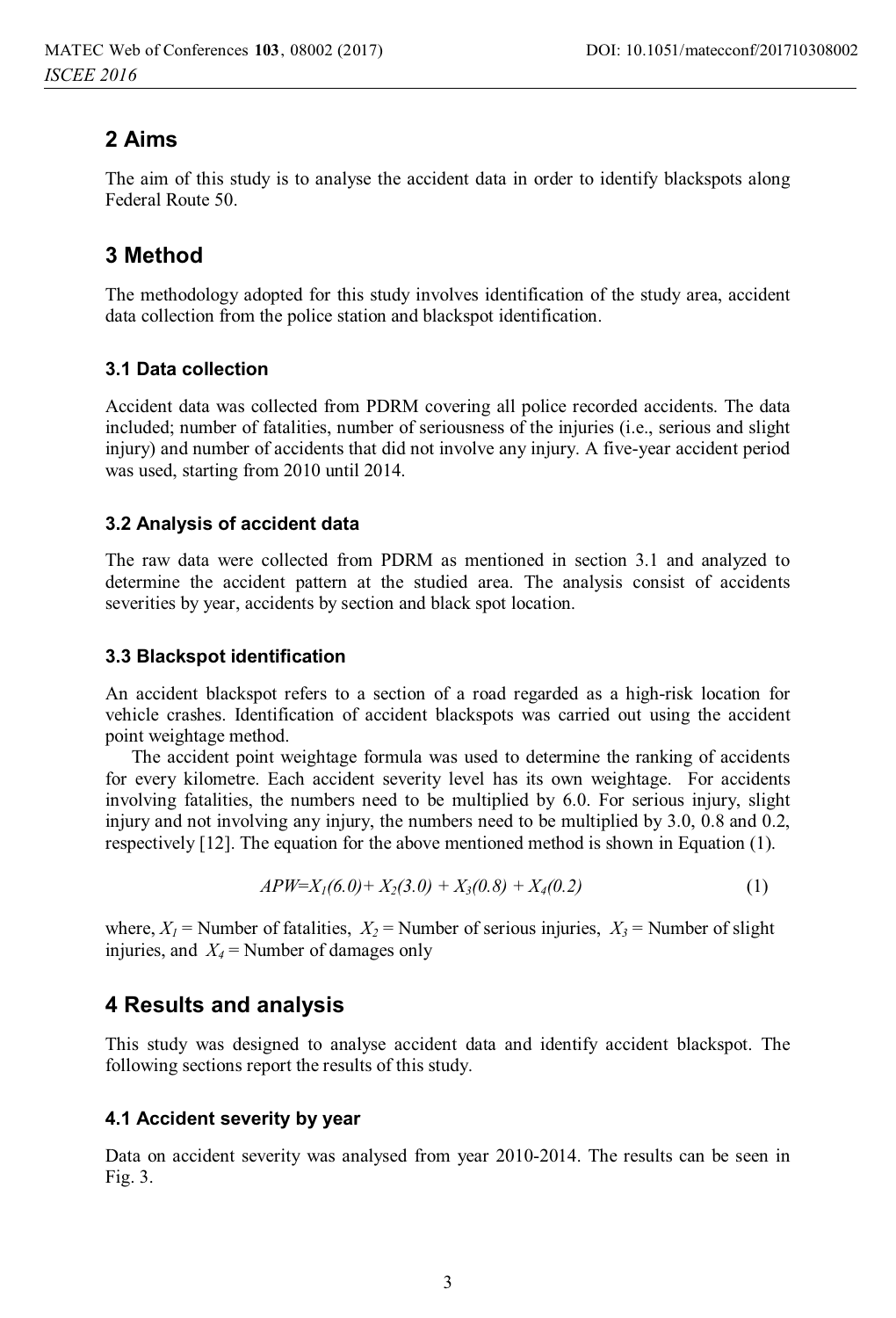# **2 Aims**

The aim of this study is to analyse the accident data in order to identify blackspots along Federal Route 50.

# **3 Method**

The methodology adopted for this study involves identification of the study area, accident data collection from the police station and blackspot identification.

#### **3.1 Data collection**

Accident data was collected from PDRM covering all police recorded accidents. The data included; number of fatalities, number of seriousness of the injuries (i.e., serious and slight injury) and number of accidents that did not involve any injury. A five-year accident period was used, starting from 2010 until 2014.

#### **3.2 Analysis of accident data**

The raw data were collected from PDRM as mentioned in section 3.1 and analyzed to determine the accident pattern at the studied area. The analysis consist of accidents severities by year, accidents by section and black spot location.

#### **3.3 Blackspot identification**

An accident blackspot refers to a section of a road regarded as a high-risk location for vehicle crashes. Identification of accident blackspots was carried out using the accident point weightage method.

The accident point weightage formula was used to determine the ranking of accidents for every kilometre. Each accident severity level has its own weightage. For accidents involving fatalities, the numbers need to be multiplied by 6.0. For serious injury, slight injury and not involving any injury, the numbers need to be multiplied by 3.0, 0.8 and 0.2, respectively [12]. The equation for the above mentioned method is shown in Equation (1).

$$
APW = X1(6.0) + X2(3.0) + X3(0.8) + X4(0.2)
$$
 (1)

where,  $X_1$  = Number of fatalities,  $X_2$  = Number of serious injuries,  $X_3$  = Number of slight injuries, and  $X_4$  = Number of damages only

### **4 Results and analysis**

This study was designed to analyse accident data and identify accident blackspot. The following sections report the results of this study.

#### **4.1 Accident severity by year**

Data on accident severity was analysed from year 2010-2014. The results can be seen in Fig. 3.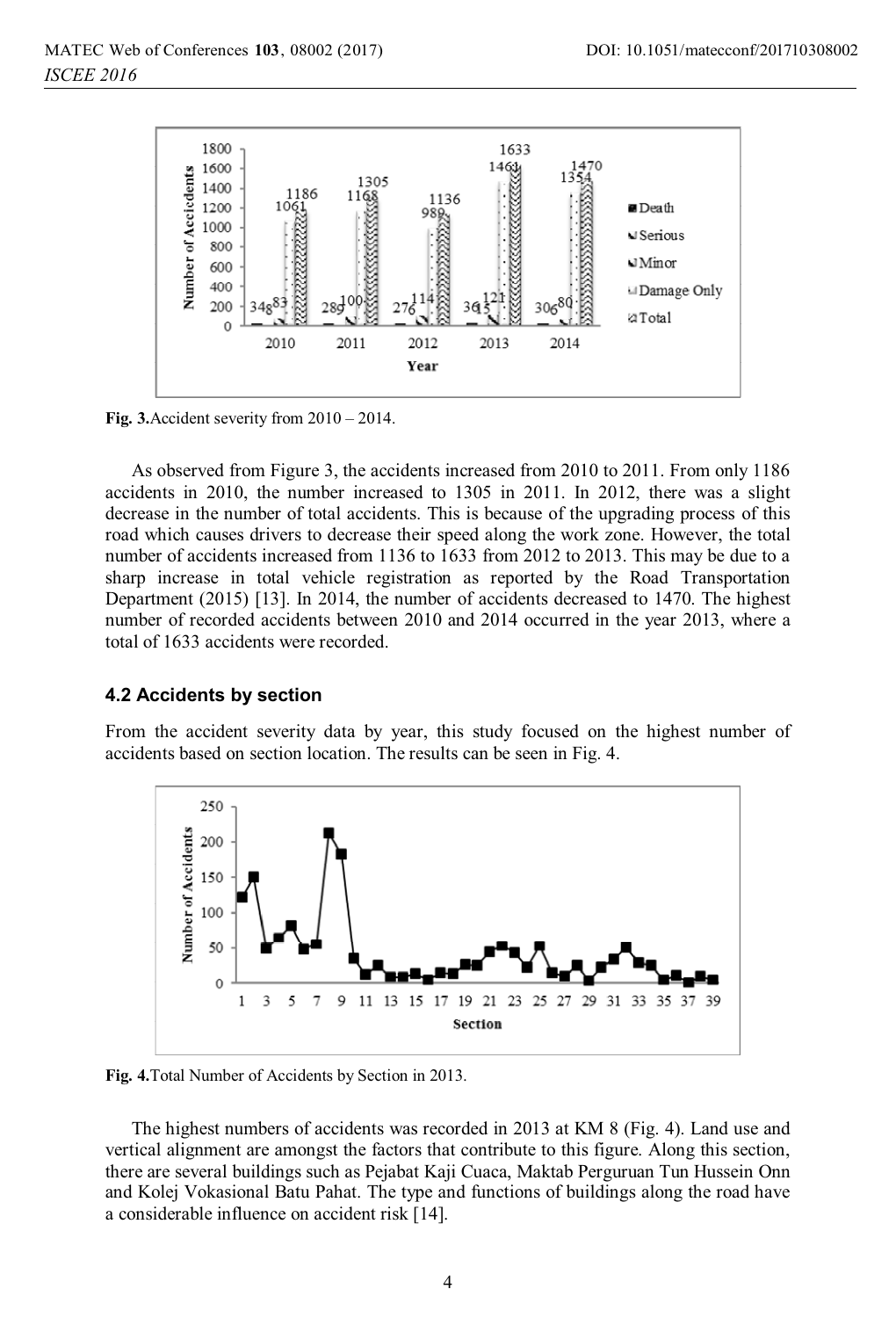

**Fig. 3.**Accident severity from 2010 – 2014.

As observed from Figure 3, the accidents increased from 2010 to 2011. From only 1186 accidents in 2010, the number increased to 1305 in 2011. In 2012, there was a slight decrease in the number of total accidents. This is because of the upgrading process of this road which causes drivers to decrease their speed along the work zone. However, the total number of accidents increased from 1136 to 1633 from 2012 to 2013. This may be due to a sharp increase in total vehicle registration as reported by the Road Transportation Department (2015) [13]. In 2014, the number of accidents decreased to 1470. The highest number of recorded accidents between 2010 and 2014 occurred in the year 2013, where a total of 1633 accidents were recorded.

#### **4.2 Accidents by section**

From the accident severity data by year, this study focused on the highest number of accidents based on section location. The results can be seen in Fig. 4.



**Fig. 4.**Total Number of Accidents by Section in 2013.

The highest numbers of accidents was recorded in 2013 at KM 8 (Fig. 4). Land use and vertical alignment are amongst the factors that contribute to this figure. Along this section, there are several buildings such as Pejabat Kaji Cuaca, Maktab Perguruan Tun Hussein Onn and Kolej Vokasional Batu Pahat. The type and functions of buildings along the road have a considerable influence on accident risk [14].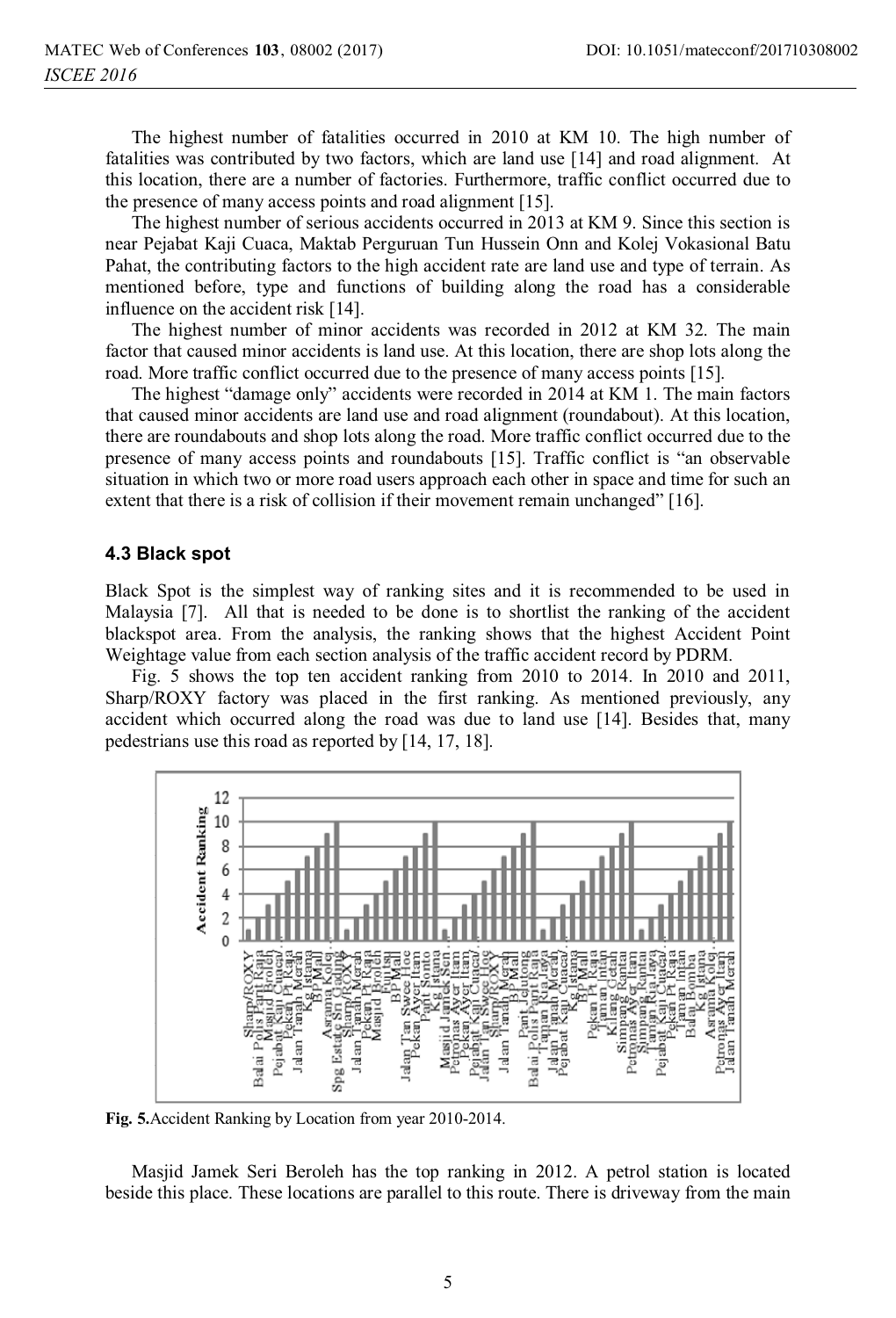The highest number of fatalities occurred in 2010 at KM 10. The high number of fatalities was contributed by two factors, which are land use [14] and road alignment. At this location, there are a number of factories. Furthermore, traffic conflict occurred due to the presence of many access points and road alignment [15].

The highest number of serious accidents occurred in 2013 at KM 9. Since this section is near Pejabat Kaji Cuaca, Maktab Perguruan Tun Hussein Onn and Kolej Vokasional Batu Pahat, the contributing factors to the high accident rate are land use and type of terrain. As mentioned before, type and functions of building along the road has a considerable influence on the accident risk [14].

The highest number of minor accidents was recorded in 2012 at KM 32. The main factor that caused minor accidents is land use. At this location, there are shop lots along the road. More traffic conflict occurred due to the presence of many access points [15].

The highest "damage only" accidents were recorded in 2014 at KM 1. The main factors that caused minor accidents are land use and road alignment (roundabout). At this location, there are roundabouts and shop lots along the road. More traffic conflict occurred due to the presence of many access points and roundabouts [15]. Traffic conflict is "an observable situation in which two or more road users approach each other in space and time for such an extent that there is a risk of collision if their movement remain unchanged" [16].

#### **4.3 Black spot**

Black Spot is the simplest way of ranking sites and it is recommended to be used in Malaysia [7]. All that is needed to be done is to shortlist the ranking of the accident blackspot area. From the analysis, the ranking shows that the highest Accident Point Weightage value from each section analysis of the traffic accident record by PDRM.

Fig. 5 shows the top ten accident ranking from 2010 to 2014. In 2010 and 2011, Sharp/ROXY factory was placed in the first ranking. As mentioned previously, any accident which occurred along the road was due to land use [14]. Besides that, many pedestrians use this road as reported by [14, 17, 18].



**Fig. 5.**Accident Ranking by Location from year 2010-2014.

Masjid Jamek Seri Beroleh has the top ranking in 2012. A petrol station is located beside this place. These locations are parallel to this route. There is driveway from the main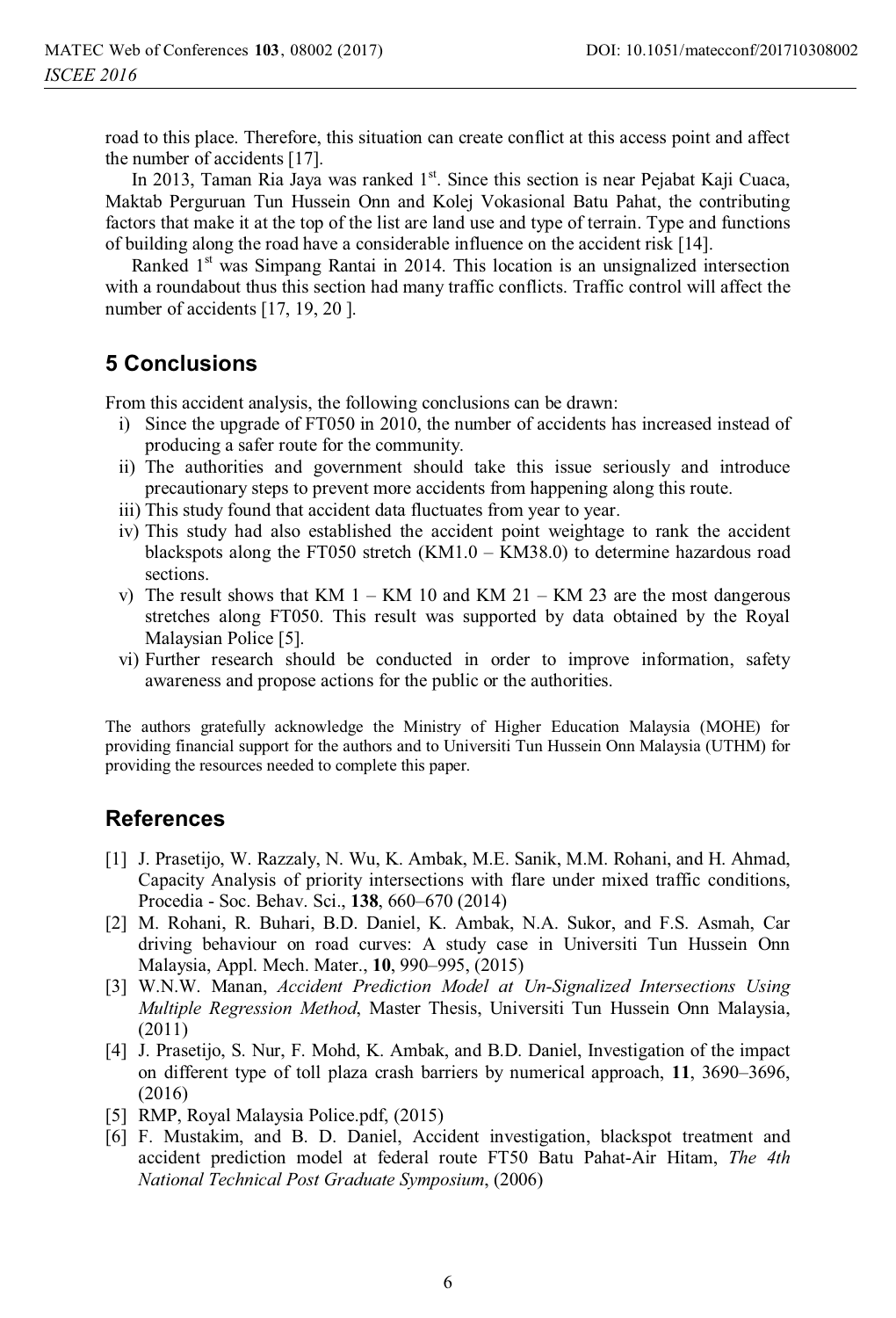road to this place. Therefore, this situation can create conflict at this access point and affect the number of accidents [17].

In 2013, Taman Ria Jaya was ranked  $1<sup>st</sup>$ . Since this section is near Pejabat Kaji Cuaca, Maktab Perguruan Tun Hussein Onn and Kolej Vokasional Batu Pahat, the contributing factors that make it at the top of the list are land use and type of terrain. Type and functions of building along the road have a considerable influence on the accident risk [14].

Ranked 1<sup>st</sup> was Simpang Rantai in 2014. This location is an unsignalized intersection with a roundabout thus this section had many traffic conflicts. Traffic control will affect the number of accidents [17, 19, 20].

### **5 Conclusions**

From this accident analysis, the following conclusions can be drawn:

- i) Since the upgrade of FT050 in 2010, the number of accidents has increased instead of producing a safer route for the community.
- ii) The authorities and government should take this issue seriously and introduce precautionary steps to prevent more accidents from happening along this route.
- iii) This study found that accident data fluctuates from year to year.
- iv) This study had also established the accident point weightage to rank the accident blackspots along the FT050 stretch (KM1.0 – KM38.0) to determine hazardous road sections.
- v) The result shows that KM  $1 KM$  10 and KM  $21 KM$  23 are the most dangerous stretches along FT050. This result was supported by data obtained by the Royal Malaysian Police [5].
- vi) Further research should be conducted in order to improve information, safety awareness and propose actions for the public or the authorities.

The authors gratefully acknowledge the Ministry of Higher Education Malaysia (MOHE) for providing financial support for the authors and to Universiti Tun Hussein Onn Malaysia (UTHM) for providing the resources needed to complete this paper.

### **References**

- [1] J. Prasetijo, W. Razzaly, N. Wu, K. Ambak, M.E. Sanik, M.M. Rohani, and H. Ahmad, Capacity Analysis of priority intersections with flare under mixed traffic conditions, Procedia - Soc. Behav. Sci., **138**, 660–670 (2014)
- [2] M. Rohani, R. Buhari, B.D. Daniel, K. Ambak, N.A. Sukor, and F.S. Asmah, Car driving behaviour on road curves: A study case in Universiti Tun Hussein Onn Malaysia, Appl. Mech. Mater., **10**, 990–995, (2015)
- [3] W.N.W. Manan, *Accident Prediction Model at Un-Signalized Intersections Using Multiple Regression Method*, Master Thesis, Universiti Tun Hussein Onn Malaysia, (2011)
- [4] J. Prasetijo, S. Nur, F. Mohd, K. Ambak, and B.D. Daniel, Investigation of the impact on different type of toll plaza crash barriers by numerical approach, **11**, 3690–3696, (2016)
- [5] RMP, Royal Malaysia Police.pdf, (2015)
- [6] F. Mustakim, and B. D. Daniel, Accident investigation, blackspot treatment and accident prediction model at federal route FT50 Batu Pahat-Air Hitam, *The 4th National Technical Post Graduate Symposium*, (2006)